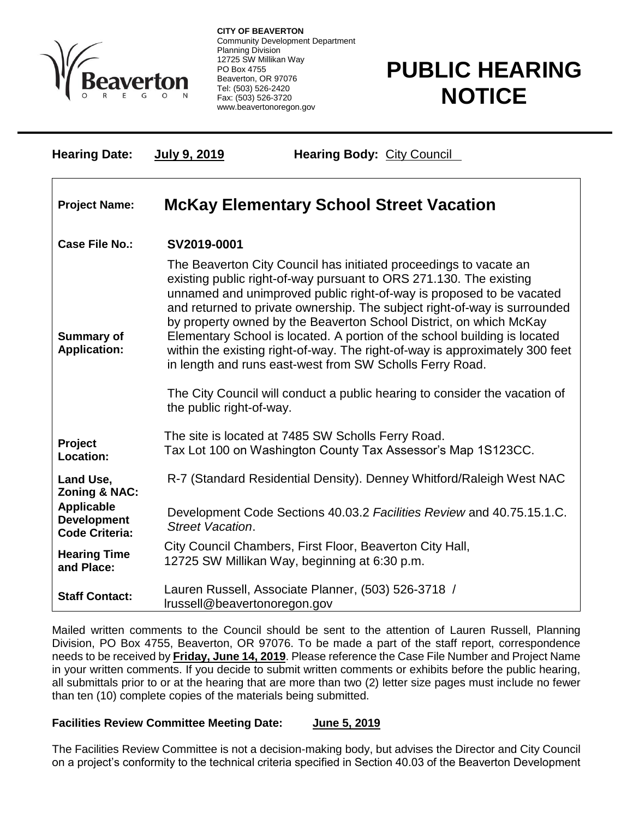

 $\overline{a}$ 

**CITY OF BEAVERTON** Community Development Department Planning Division 12725 SW Millikan Way PO Box 4755 Beaverton, OR 97076 Tel: (503) 526-2420 Fax: (503) 526-3720 www.beavertonoregon.gov

## **PUBLIC HEARING NOTICE**

| <b>Hearing Date:</b>                                             | July 9, 2019                                                                                                       | <b>Hearing Body: City Council</b>                                                                                                                                                                                                                                                                                                                                                                                                                                                                                                                                                                                                                                         |
|------------------------------------------------------------------|--------------------------------------------------------------------------------------------------------------------|---------------------------------------------------------------------------------------------------------------------------------------------------------------------------------------------------------------------------------------------------------------------------------------------------------------------------------------------------------------------------------------------------------------------------------------------------------------------------------------------------------------------------------------------------------------------------------------------------------------------------------------------------------------------------|
| <b>Project Name:</b>                                             | <b>McKay Elementary School Street Vacation</b>                                                                     |                                                                                                                                                                                                                                                                                                                                                                                                                                                                                                                                                                                                                                                                           |
| Case File No.:                                                   | SV2019-0001                                                                                                        |                                                                                                                                                                                                                                                                                                                                                                                                                                                                                                                                                                                                                                                                           |
| <b>Summary of</b><br><b>Application:</b>                         | the public right-of-way.                                                                                           | The Beaverton City Council has initiated proceedings to vacate an<br>existing public right-of-way pursuant to ORS 271.130. The existing<br>unnamed and unimproved public right-of-way is proposed to be vacated<br>and returned to private ownership. The subject right-of-way is surrounded<br>by property owned by the Beaverton School District, on which McKay<br>Elementary School is located. A portion of the school building is located<br>within the existing right-of-way. The right-of-way is approximately 300 feet<br>in length and runs east-west from SW Scholls Ferry Road.<br>The City Council will conduct a public hearing to consider the vacation of |
|                                                                  |                                                                                                                    |                                                                                                                                                                                                                                                                                                                                                                                                                                                                                                                                                                                                                                                                           |
| Project<br>Location:                                             | The site is located at 7485 SW Scholls Ferry Road.<br>Tax Lot 100 on Washington County Tax Assessor's Map 1S123CC. |                                                                                                                                                                                                                                                                                                                                                                                                                                                                                                                                                                                                                                                                           |
| Land Use,<br><b>Zoning &amp; NAC:</b>                            |                                                                                                                    | R-7 (Standard Residential Density). Denney Whitford/Raleigh West NAC                                                                                                                                                                                                                                                                                                                                                                                                                                                                                                                                                                                                      |
| <b>Applicable</b><br><b>Development</b><br><b>Code Criteria:</b> | Street Vacation.                                                                                                   | Development Code Sections 40.03.2 Facilities Review and 40.75.15.1.C.                                                                                                                                                                                                                                                                                                                                                                                                                                                                                                                                                                                                     |
| <b>Hearing Time</b><br>and Place:                                |                                                                                                                    | City Council Chambers, First Floor, Beaverton City Hall,<br>12725 SW Millikan Way, beginning at 6:30 p.m.                                                                                                                                                                                                                                                                                                                                                                                                                                                                                                                                                                 |
| <b>Staff Contact:</b>                                            | Irussell@beavertonoregon.gov                                                                                       | Lauren Russell, Associate Planner, (503) 526-3718 /                                                                                                                                                                                                                                                                                                                                                                                                                                                                                                                                                                                                                       |

Mailed written comments to the Council should be sent to the attention of Lauren Russell, Planning Division, PO Box 4755, Beaverton, OR 97076. To be made a part of the staff report, correspondence needs to be received by **Friday, June 14, 2019**. Please reference the Case File Number and Project Name in your written comments. If you decide to submit written comments or exhibits before the public hearing, all submittals prior to or at the hearing that are more than two (2) letter size pages must include no fewer than ten (10) complete copies of the materials being submitted.

## **Facilities Review Committee Meeting Date: June 5, 2019**

The Facilities Review Committee is not a decision-making body, but advises the Director and City Council on a project's conformity to the technical criteria specified in Section 40.03 of the Beaverton Development